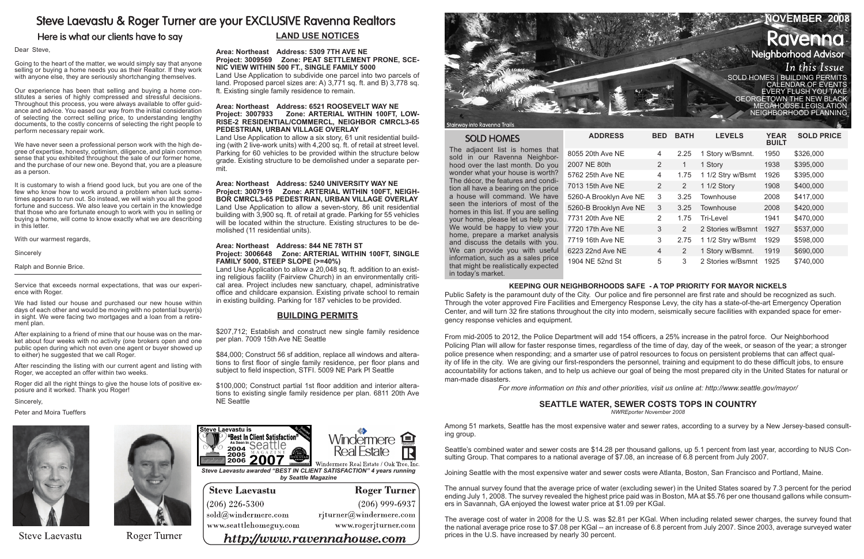# Steve Laevastu & Roger Turner are your EXCLUSIVE Ravenna Realtors

Here is what our clients have to say

Going to the heart of the matter, we would simply say that anyone selling or buying a home needs you as their Realtor. If they work with anyone else, they are seriously shortchanging themselves.

#### Dear Steve,

Our experience has been that selling and buying a home constitutes a series of highly compressed and stressful decisions. Throughout this process, you were always available to offer guidance and advice. You eased our way from the initial consideration of selecting the correct selling price, to understanding lengthy documents, to the costly concerns of selecting the right people to perform necessary repair work.

We have never seen a professional person work with the high degree of expertise, honesty, optimism, diligence, and plain common sense that you exhibited throughout the sale of our former home, and the purchase of our new one. Beyond that, you are a pleasure as a person.

It is customary to wish a friend good luck, but you are one of the few who know how to work around a problem when luck sometimes appears to run out. So instead, we will wish you all the good fortune and success. We also leave you certain in the knowledge that those who are fortunate enough to work with you in selling or buying a home, will come to know exactly what we are describing in this letter.

With our warmest regards,

Sincerely

Ralph and Bonnie Brice.

Service that exceeds normal expectations, that was our experience with Roger.

We had listed our house and purchased our new house within days of each other and would be moving with no potential buyer(s) in sight. We were facing two mortgages and a loan from a retirement plan.

After explaining to a friend of mine that our house was on the market about four weeks with no activity (one brokers open and one public open during which not even one agent or buyer showed up to either) he suggested that we call Roger.

|  | NOVEMBER 2008                                                                            |
|--|------------------------------------------------------------------------------------------|
|  | <b>Ravenna</b>                                                                           |
|  | <b>Neighborhood Advisor</b>                                                              |
|  | In this Issue                                                                            |
|  | SOLD HOMES   BUILDING PERMITS<br>  CALENDAR OF EVENTS<br>EVERY FLUSH YOU TAKE            |
|  | <b>GEORGETOWN THE NEW BLACK</b><br><b>MEGAHOUSE LEGISLATION</b><br>NEIGHBORHOOD PLANNING |
|  |                                                                                          |

After rescinding the listing with our current agent and listing with Roger, we accepted an offer within two weeks.

Roger did all the right things to give the house lots of positive exposure and it worked. Thank you Roger!

Sincerely,

Peter and Moira Tueffers



**Steve Laevastu** 



Roger Turner

The adjacent list is homes that sold in our Ravenna Neighborhood over the last month. Do you wonder what your house is worth? The décor, the features and condition all have a bearing on the price a house will command. We have seen the interiors of most of the homes in this list. If you are selling your home, please let us help you. home, prepare a market analysis and discuss the details with you. information, such as a sales price that might be realistically expected in today's market.

| <b>SOLD HOMES</b>                                                           | <b>ADDRESS</b>         | <b>BED</b>     | <b>BATH</b>    | <b>LEVELS</b>     | <b>YEAR</b><br><b>BUILT</b> | <b>SOLD PRICE</b> |
|-----------------------------------------------------------------------------|------------------------|----------------|----------------|-------------------|-----------------------------|-------------------|
| The adjacent list is homes that<br>sold in our Ravenna Neighbor-            | 8055 20th Ave NE       | 4              | 2.25           | 1 Story w/Bsmnt.  | 1950                        | \$326,000         |
| hood over the last month. Do you                                            | 2007 NE 80th           | 2              | 1              | 1 Story           | 1938                        | \$395,000         |
| wonder what your house is worth?<br>The décor, the features and condi-      | 5762 25th Ave NE       | 4              | 1.75           | 1 1/2 Stry w/Bsmt | 1926                        | \$395,000         |
| tion all have a bearing on the price                                        | 7013 15th Ave NE       | $\overline{2}$ | 2              | 1 1/2 Story       | 1908                        | \$400,000         |
| a house will command. We have                                               | 5260-A Brooklyn Ave NE | 3              | 3.25           | Townhouse         | 2008                        | \$417,000         |
| seen the interiors of most of the<br>homes in this list. If you are selling | 5260-B Brooklyn Ave NE | 3              | 3.25           | Townhouse         | 2008                        | \$420,000         |
| your home, please let us help you.                                          | 7731 20th Ave NE       | 2              | 1.75           | Tri-Level         | 1941                        | \$470,000         |
| We would be happy to view your                                              | 7720 17th Ave NE       | 3              | 2              | 2 Stories w/Bsmnt | 1927                        | \$537,000         |
| home, prepare a market analysis<br>and discuss the details with you.        | 7719 16th Ave NE       | 3              | 2.75           | 1 1/2 Stry w/Bsmt | 1929                        | \$598,000         |
| We can provide you with useful                                              | 6223 22nd Ave NE       | $\overline{4}$ | $\overline{2}$ | 1 Story w/Bsmnt.  | 1919                        | \$690,000         |
| information, such as a sales price<br>hat might he realistically expected.  | 1904 NE 52nd St        | 5              | 3              | 2 Stories w/Bsmnt | 1925                        | \$740,000         |





Stairway into Ravenna Trail

## **SOLD HOMES**

## **Land Use Notices**

**Area: Northeast Address: 5309 7TH AVE NE Project: 3009569 Zone: PEAT SETTLEMENT PRONE, SCE-NIC VIEW WITHIN 500 FT., SINGLE FAMILY 5000**  Land Use Application to subdivide one parcel into two parcels of land. Proposed parcel sizes are: A) 3,771 sq. ft. and B) 3,778 sq. ft. Existing single family residence to remain.

### **Area: Northeast Address: 6521 ROOSEVELT WAY NE Project: 3007933 Zone: ARTERIAL WITHIN 100FT, LOW-RISE-2 RESIDENTIAL/COMMERCL, NEIGHBOR CMRCL3-65 PEDESTRIAN, URBAN VILLAGE OVERLAY**

Land Use Application to allow a six story, 61 unit residential building (with 2 live-work units) with 4,200 sq. ft. of retail at street level. Parking for 60 vehicles to be provided within the structure below grade. Existing structure to be demolished under a separate permit.

**Area: Northeast Address: 5240 UNIVERSITY WAY NE Project: 3007919 Zone: ARTERIAL WITHIN 100FT, NEIGH-BOR CMRCL3-65 PEDESTRIAN, URBAN VILLAGE OVERLAY**  Land Use Application to allow a seven-story, 86 unit residential building with 3,900 sq. ft. of retail at grade. Parking for 55 vehicles will be located within the structure. Existing structures to be demolished (11 residential units).

#### **Area: Northeast Address: 844 NE 78TH ST Project: 3006648 Zone: ARTERIAL WITHIN 100FT, SINGLE FAMILY 5000, STEEP SLOPE (>=40%)**

Land Use Application to allow a 20,048 sq. ft. addition to an existing religious facility (Fairview Church) in an environmentally critical area. Project includes new sanctuary, chapel, administrative office and childcare expansion. Existing private school to remain in existing building. Parking for 187 vehicles to be provided.

## **Building Permits**

\$207,712; Establish and construct new single family residence per plan. 7009 15th Ave NE Seattle

\$84,000; Construct 56 sf addition, replace all windows and alterations to first floor of single family residence, per floor plans and subject to field inspection, STFI. 5009 NE Park Pl Seattle

\$100,000; Construct partial 1st floor addition and interior alterations to existing single family residence per plan. 6811 20th Ave

## NE Seattle **Seattle Water, Sewer Costs Tops in Country**

*NWREporter November 2008* 

Among 51 markets, Seattle has the most expensive water and sewer rates, according to a survey by a New Jersey-based consulting group.

Seattle's combined water and sewer costs are \$14.28 per thousand gallons, up 5.1 percent from last year, according to NUS Consulting Group. That compares to a national average of \$7.08, an increase of 6.8 percent from July 2007.

Joining Seattle with the most expensive water and sewer costs were Atlanta, Boston, San Francisco and Portland, Maine.

The annual survey found that the average price of water (excluding sewer) in the United States soared by 7.3 percent for the period ending July 1, 2008. The survey revealed the highest price paid was in Boston, MA at \$5.76 per one thousand gallons while consumers in Savannah, GA enjoyed the lowest water price at \$1.09 per KGal.

The average cost of water in 2008 for the U.S. was \$2.81 per KGal. When including related sewer charges, the survey found that the national average price rose to \$7.08 per KGal -- an increase of 6.8 percent from July 2007. Since 2003, average surveyed water prices in the U.S. have increased by nearly 30 percent.

## **KEEPING OUR NEIGHBORHOODS SAFE - A TOP PRIORITY FOR MAYOR NICKELS**

Public Safety is the paramount duty of the City. Our police and fire personnel are first rate and should be recognized as such. Through the voter approved Fire Facilities and Emergency Response Levy, the city has a state-of-the-art Emergency Operation Center, and will turn 32 fire stations throughout the city into modern, seismically secure facilities with expanded space for emergency response vehicles and equipment.

From mid-2005 to 2012, the Police Department will add 154 officers, a 25% increase in the patrol force. Our Neighborhood Policing Plan will allow for faster response times, regardless of the time of day, day of the week, or season of the year; a stronger police presence when responding; and a smarter use of patrol resources to focus on persistent problems that can affect quality of life in the city. We are giving our first-responders the personnel, training and equipment to do these difficult jobs, to ensure accountability for actions taken, and to help us achieve our goal of being the most prepared city in the United States for natural or man-made disasters.

*For more information on this and other priorities, visit us online at: http://www.seattle.gov/mayor/*